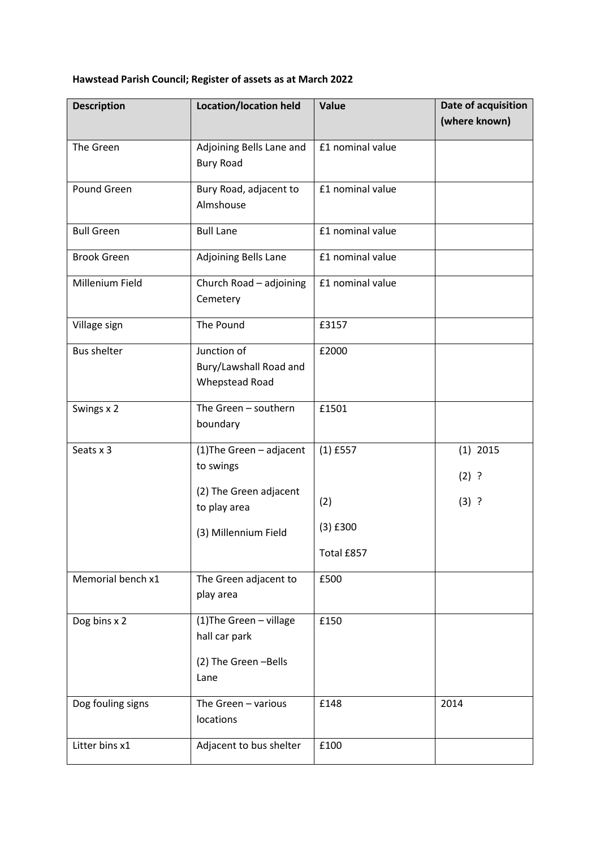## **Hawstead Parish Council; Register of assets as at March 2022**

| <b>Description</b> | <b>Location/location held</b>                                  | Value            | Date of acquisition<br>(where known) |
|--------------------|----------------------------------------------------------------|------------------|--------------------------------------|
| The Green          | Adjoining Bells Lane and<br><b>Bury Road</b>                   | £1 nominal value |                                      |
| Pound Green        | Bury Road, adjacent to<br>Almshouse                            | £1 nominal value |                                      |
| <b>Bull Green</b>  | <b>Bull Lane</b>                                               | £1 nominal value |                                      |
| <b>Brook Green</b> | Adjoining Bells Lane                                           | £1 nominal value |                                      |
| Millenium Field    | Church Road - adjoining<br>Cemetery                            | £1 nominal value |                                      |
| Village sign       | The Pound                                                      | £3157            |                                      |
| <b>Bus shelter</b> | Junction of<br>Bury/Lawshall Road and<br><b>Whepstead Road</b> | £2000            |                                      |
| Swings x 2         | The Green - southern<br>boundary                               | £1501            |                                      |
| Seats x 3          | (1) The Green - adjacent<br>to swings                          | $(1)$ £557       | $(1)$ 2015<br>$(2)$ ?                |
|                    | (2) The Green adjacent<br>to play area                         | (2)              | $(3)$ ?                              |
|                    | (3) Millennium Field                                           | $(3)$ £300       |                                      |
|                    |                                                                | Total £857       |                                      |
| Memorial bench x1  | The Green adjacent to<br>play area                             | £500             |                                      |
| Dog bins x 2       | (1) The Green - village<br>hall car park                       | £150             |                                      |
|                    | (2) The Green -Bells<br>Lane                                   |                  |                                      |
| Dog fouling signs  | The Green - various<br>locations                               | £148             | 2014                                 |
| Litter bins x1     | Adjacent to bus shelter                                        | £100             |                                      |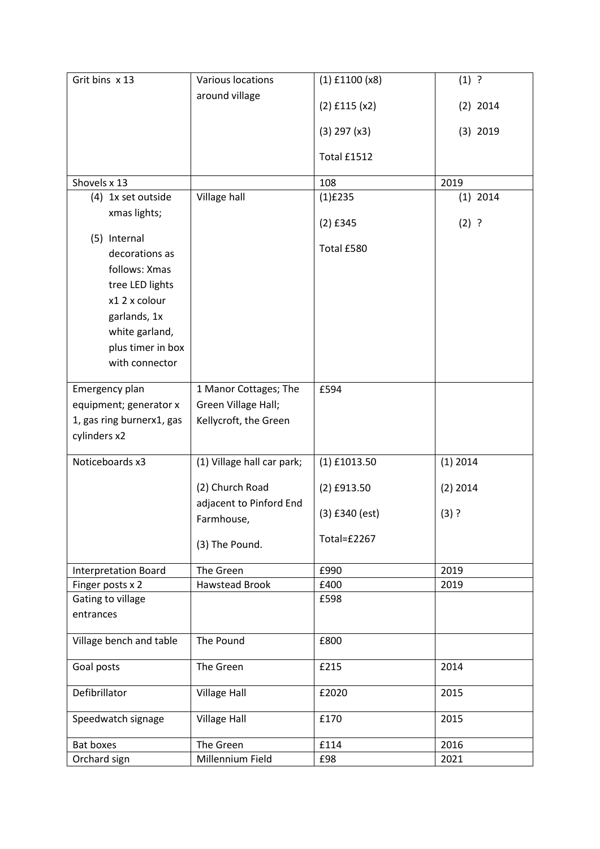| Grit bins x 13              | Various locations          | $(1)$ £1100 $(x8)$ | $(1)$ ?    |
|-----------------------------|----------------------------|--------------------|------------|
|                             | around village             |                    |            |
|                             |                            | $(2)$ £115 $(x2)$  | $(2)$ 2014 |
|                             |                            | $(3)$ 297 $(x3)$   | $(3)$ 2019 |
|                             |                            | Total £1512        |            |
| Shovels x 13                |                            | 108                | 2019       |
| (4) 1x set outside          | Village hall               | $(1)$ £235         | $(1)$ 2014 |
| xmas lights;                |                            |                    |            |
|                             |                            | $(2)$ £345         | $(2)$ ?    |
| (5) Internal                |                            |                    |            |
| decorations as              |                            | Total £580         |            |
| follows: Xmas               |                            |                    |            |
| tree LED lights             |                            |                    |            |
| x1 2 x colour               |                            |                    |            |
| garlands, 1x                |                            |                    |            |
| white garland,              |                            |                    |            |
| plus timer in box           |                            |                    |            |
| with connector              |                            |                    |            |
|                             |                            |                    |            |
| Emergency plan              | 1 Manor Cottages; The      | £594               |            |
| equipment; generator x      | Green Village Hall;        |                    |            |
| 1, gas ring burnerx1, gas   | Kellycroft, the Green      |                    |            |
| cylinders x2                |                            |                    |            |
|                             |                            |                    |            |
| Noticeboards x3             | (1) Village hall car park; | $(1)$ £1013.50     | $(1)$ 2014 |
|                             | (2) Church Road            | $(2)$ £913.50      | $(2)$ 2014 |
|                             | adjacent to Pinford End    |                    |            |
|                             | Farmhouse,                 | $(3)$ £340 (est)   | $(3)$ ?    |
|                             | (3) The Pound.             | Total=£2267        |            |
| <b>Interpretation Board</b> | The Green                  | £990               | 2019       |
| Finger posts x 2            | <b>Hawstead Brook</b>      | £400               | 2019       |
| Gating to village           |                            | £598               |            |
| entrances                   |                            |                    |            |
| Village bench and table     | The Pound                  | £800               |            |
| Goal posts                  | The Green                  | £215               | 2014       |
| Defibrillator               | <b>Village Hall</b>        | £2020              | 2015       |
| Speedwatch signage          | <b>Village Hall</b>        | £170               | 2015       |
| Bat boxes                   | The Green                  | £114               | 2016       |
| Orchard sign                | Millennium Field           | £98                | 2021       |